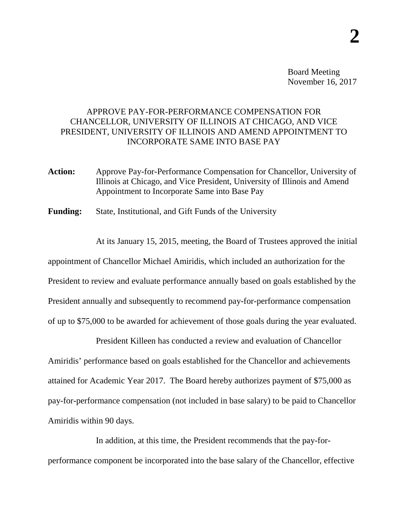Board Meeting November 16, 2017

## APPROVE PAY-FOR-PERFORMANCE COMPENSATION FOR CHANCELLOR, UNIVERSITY OF ILLINOIS AT CHICAGO, AND VICE PRESIDENT, UNIVERSITY OF ILLINOIS AND AMEND APPOINTMENT TO INCORPORATE SAME INTO BASE PAY

**Action:** Approve Pay-for-Performance Compensation for Chancellor, University of Illinois at Chicago, and Vice President, University of Illinois and Amend Appointment to Incorporate Same into Base Pay

**Funding:** State, Institutional, and Gift Funds of the University

At its January 15, 2015, meeting, the Board of Trustees approved the initial appointment of Chancellor Michael Amiridis, which included an authorization for the President to review and evaluate performance annually based on goals established by the President annually and subsequently to recommend pay-for-performance compensation of up to \$75,000 to be awarded for achievement of those goals during the year evaluated.

President Killeen has conducted a review and evaluation of Chancellor Amiridis' performance based on goals established for the Chancellor and achievements attained for Academic Year 2017. The Board hereby authorizes payment of \$75,000 as pay-for-performance compensation (not included in base salary) to be paid to Chancellor Amiridis within 90 days.

In addition, at this time, the President recommends that the pay-forperformance component be incorporated into the base salary of the Chancellor, effective